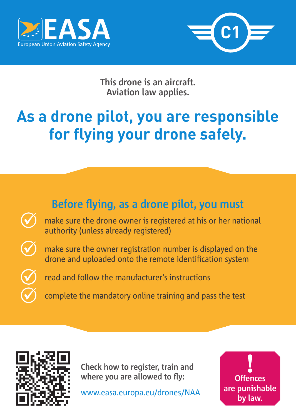



**This drone is an aircraft. Aviation law applies.**

## **As a drone pilot, you are responsible for flying your drone safely.**





**Check how to register, train and where you are allowed to fly:**

www.easa.europa.eu/drones/NAA